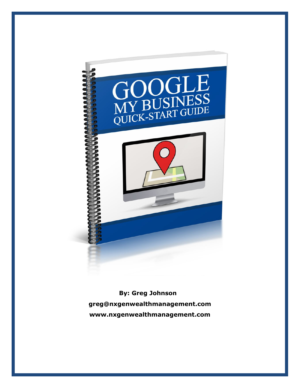

**By: Greg Johnson greg@nxgenwealthmanagement.com www.nxgenwealthmanagement.com**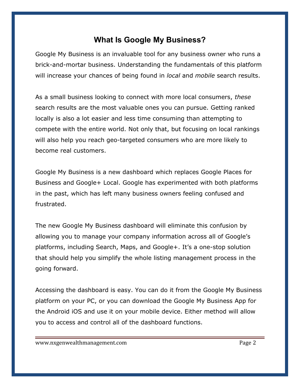## **What Is Google My Business?**

Google My Business is an invaluable tool for any business owner who runs a brick-and-mortar business. Understanding the fundamentals of this platform will increase your chances of being found in *local* and *mobile* search results.

As a small business looking to connect with more local consumers, *these*  search results are the most valuable ones you can pursue. Getting ranked locally is also a lot easier and less time consuming than attempting to compete with the entire world. Not only that, but focusing on local rankings will also help you reach geo-targeted consumers who are more likely to become real customers.

Google My Business is a new dashboard which replaces Google Places for Business and Google+ Local. Google has experimented with both platforms in the past, which has left many business owners feeling confused and frustrated.

The new Google My Business dashboard will eliminate this confusion by allowing you to manage your company information across all of Google's platforms, including Search, Maps, and Google+. It's a one-stop solution that should help you simplify the whole listing management process in the going forward.

Accessing the dashboard is easy. You can do it from the Google My Business platform on your PC, or you can download the Google My Business App for the Android iOS and use it on your mobile device. Either method will allow you to access and control all of the dashboard functions.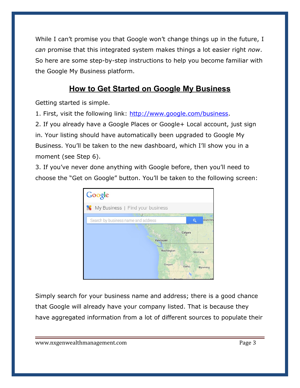While I can't promise you that Google won't change things up in the future, I *can* promise that this integrated system makes things a lot easier right *now*. So here are some step-by-step instructions to help you become familiar with the Google My Business platform.

# **How to Get Started on Google My Business**

Getting started is simple.

1. First, visit the following link: [http://www.google.com/business.](http://www.google.com/business)

2. If you already have a Google Places or Google+ Local account, just sign in. Your listing should have automatically been upgraded to Google My Business. You'll be taken to the new dashboard, which I'll show you in a moment (see Step 6).

3. If you've never done anything with Google before, then you'll need to choose the "Get on Google" button. You'll be taken to the following screen:



Simply search for your business name and address; there is a good chance that Google will already have your company listed. That is because they have aggregated information from a lot of different sources to populate their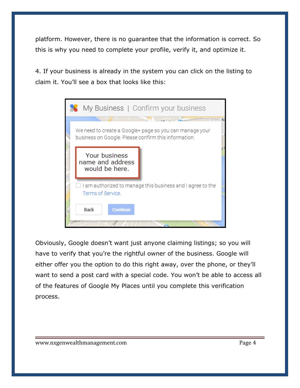platform. However, there is no guarantee that the information is correct. So this is why you need to complete your profile, verify it, and optimize it.

4. If your business is already in the system you can click on the listing to claim it. You'll see a box that looks like this:



Obviously, Google doesn't want just anyone claiming listings; so you will have to verify that you're the rightful owner of the business. Google will either offer you the option to do this right away, over the phone, or they'll want to send a post card with a special code. You won't be able to access all of the features of Google My Places until you complete this verification process.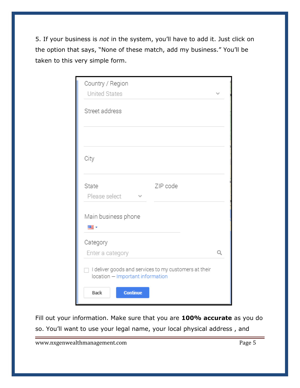5. If your business is *not* in the system, you'll have to add it. Just click on the option that says, "None of these match, add my business." You'll be taken to this very simple form.

| Country / Region<br><b>United States</b>                                                  |  |
|-------------------------------------------------------------------------------------------|--|
| Street address                                                                            |  |
|                                                                                           |  |
| City                                                                                      |  |
| ZIP code<br>State<br>Please select                                                        |  |
| Main business phone                                                                       |  |
| ≋≣ ≁                                                                                      |  |
| Category<br>Enter a category                                                              |  |
| I deliver goods and services to my customers at their<br>location - Important information |  |
| <b>Continue</b><br>Back                                                                   |  |

Fill out your information. Make sure that you are **100% accurate** as you do so. You'll want to use your legal name, your local physical address , and

www.nxgenwealthmanagement.com example and a state of Page 5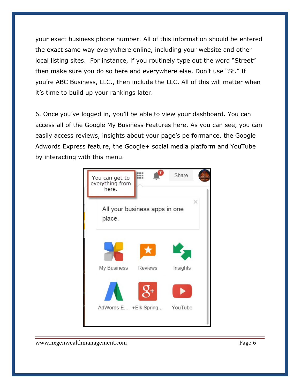your exact business phone number. All of this information should be entered the exact same way everywhere online, including your website and other local listing sites. For instance, if you routinely type out the word "Street" then make sure you do so here and everywhere else. Don't use "St." If you're ABC Business, LLC., then include the LLC. All of this will matter when it's time to build up your rankings later.

6. Once you've logged in, you'll be able to view your dashboard. You can access all of the Google My Business Features here. As you can see, you can easily access reviews, insights about your page's performance, the Google Adwords Express feature, the Google+ social media platform and YouTube by interacting with this menu.

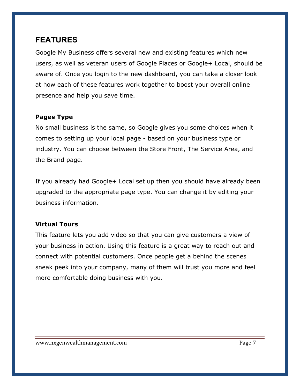### **FEATURES**

Google My Business offers several new and existing features which new users, as well as veteran users of Google Places or Google+ Local, should be aware of. Once you login to the new dashboard, you can take a closer look at how each of these features work together to boost your overall online presence and help you save time.

### **Pages Type**

No small business is the same, so Google gives you some choices when it comes to setting up your local page - based on your business type or industry. You can choose between the Store Front, The Service Area, and the Brand page.

If you already had Google+ Local set up then you should have already been upgraded to the appropriate page type. You can change it by editing your business information.

### **Virtual Tours**

This feature lets you add video so that you can give customers a view of your business in action. Using this feature is a great way to reach out and connect with potential customers. Once people get a behind the scenes sneak peek into your company, many of them will trust you more and feel more comfortable doing business with you.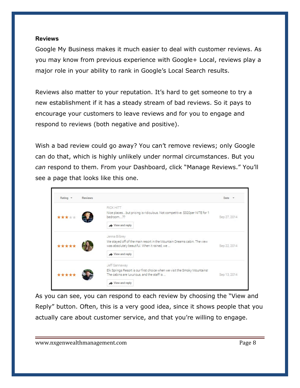#### **Reviews**

Google My Business makes it much easier to deal with customer reviews. As you may know from previous experience with Google+ Local, reviews play a major role in your ability to rank in Google's Local Search results.

Reviews also matter to your reputation. It's hard to get someone to try a new establishment if it has a steady stream of bad reviews. So it pays to encourage your customers to leave reviews and for you to engage and respond to reviews (both negative and positive).

Wish a bad review could go away? You can't remove reviews; only Google can do that, which is highly unlikely under normal circumstances. But you *can* respond to them. From your Dashboard, click "Manage Reviews." You'll see a page that looks like this one.



As you can see, you can respond to each review by choosing the "View and Reply" button. Often, this is a very good idea, since it shows people that you actually care about customer service, and that you're willing to engage.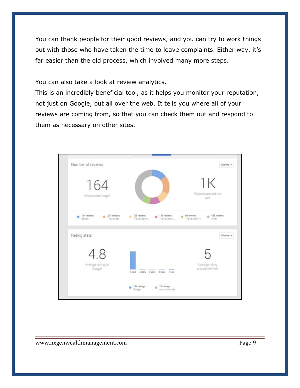You can thank people for their good reviews, and you can try to work things out with those who have taken the time to leave complaints. Either way, it's far easier than the old process, which involved many more steps.

You can also take a look at review analytics.

This is an incredibly beneficial tool, as it helps you monitor your reputation, not just on Google, but all over the web. It tells you where all of your reviews are coming from, so that you can check them out and respond to them as necessary on other sites.

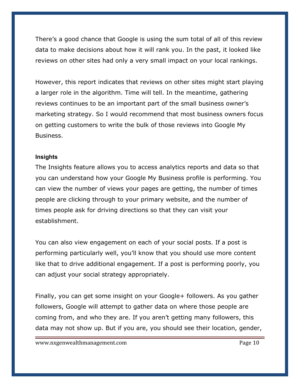There's a good chance that Google is using the sum total of all of this review data to make decisions about how it will rank you. In the past, it looked like reviews on other sites had only a very small impact on your local rankings.

However, this report indicates that reviews on other sites might start playing a larger role in the algorithm. Time will tell. In the meantime, gathering reviews continues to be an important part of the small business owner's marketing strategy. So I would recommend that most business owners focus on getting customers to write the bulk of those reviews into Google My Business.

#### **Insights**

The Insights feature allows you to access analytics reports and data so that you can understand how your Google My Business profile is performing. You can view the number of views your pages are getting, the number of times people are clicking through to your primary website, and the number of times people ask for driving directions so that they can visit your establishment.

You can also view engagement on each of your social posts. If a post is performing particularly well, you'll know that you should use more content like that to drive additional engagement. If a post is performing poorly, you can adjust your social strategy appropriately.

Finally, you can get some insight on your Google+ followers. As you gather followers, Google will attempt to gather data on where those people are coming from, and who they are. If you aren't getting many followers, this data may not show up. But if you are, you should see their location, gender,

www.nxgenwealthmanagement.com entitled a state of the Page 10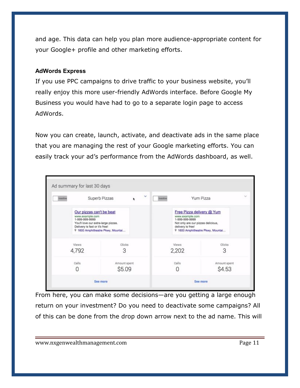and age. This data can help you plan more audience-appropriate content for your Google+ profile and other marketing efforts.

#### **AdWords Express**

If you use PPC campaigns to drive traffic to your business website, you'll really enjoy this more user-friendly AdWords interface. Before Google My Business you would have had to go to a separate login page to access AdWords.

Now you can create, launch, activate, and deactivate ads in the same place that you are managing the rest of your Google marketing efforts. You can easily track your ad's performance from the AdWords dashboard, as well.



From here, you can make some decisions—are you getting a large enough return on your investment? Do you need to deactivate some campaigns? All of this can be done from the drop down arrow next to the ad name. This will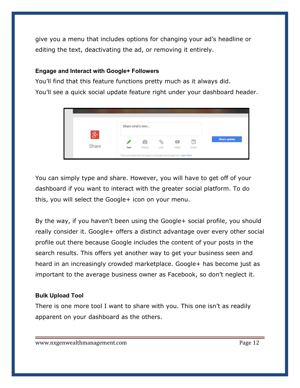give you a menu that includes options for changing your ad's headline or editing the text, deactivating the ad, or removing it entirely.

#### **Engage and Interact with Google+ Followers**

You'll find that this feature functions pretty much as it always did.

You'll see a quick social update feature right under your dashboard header.

|                           | Share what's new |        |      |         |        |              |
|---------------------------|------------------|--------|------|---------|--------|--------------|
| $\overline{\mathbf{g}}$ + |                  |        |      |         |        |              |
|                           |                  | O      | c,   | $\circ$ | 同      | Share update |
| Share                     | Text             | Photos | Link | Video   | Event. |              |

You can simply type and share. However, you will have to get off of your dashboard if you want to interact with the greater social platform. To do this, you will select the Google+ icon on your menu.

By the way, if you haven't been using the Google+ social profile, you should really consider it. Google+ offers a distinct advantage over every other social profile out there because Google includes the content of your posts in the search results. This offers yet another way to get your business seen and heard in an increasingly crowded marketplace. Google+ has become just as important to the average business owner as Facebook, so don't neglect it.

#### **Bulk Upload Tool**

There is one more tool I want to share with you. This one isn't as readily apparent on your dashboard as the others.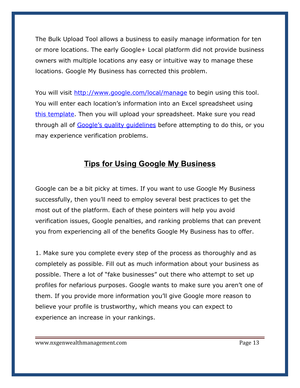The Bulk Upload Tool allows a business to easily manage information for ten or more locations. The early Google+ Local platform did not provide business owners with multiple locations any easy or intuitive way to manage these locations. Google My Business has corrected this problem.

You will visit<http://www.google.com/local/manage>to begin using this tool. You will enter each location's information into an Excel spreadsheet using [this template.](https://docs.google.com/a/google.com/spreadsheet/ccc?key=0AtAMaLBhiYxedHRucWhlVUxNZ0QwOUJJSDFwbDRkd2c#gid=0) Then you will upload your spreadsheet. Make sure you read through all of Google's quality quidelines before attempting to do this, or you may experience verification problems.

## **Tips for Using Google My Business**

Google can be a bit picky at times. If you want to use Google My Business successfully, then you'll need to employ several best practices to get the most out of the platform. Each of these pointers will help you avoid verification issues, Google penalties, and ranking problems that can prevent you from experiencing all of the benefits Google My Business has to offer.

1. Make sure you complete every step of the process as thoroughly and as completely as possible. Fill out as much information about your business as possible. There a lot of "fake businesses" out there who attempt to set up profiles for nefarious purposes. Google wants to make sure you aren't one of them. If you provide more information you'll give Google more reason to believe your profile is trustworthy, which means you can expect to experience an increase in your rankings.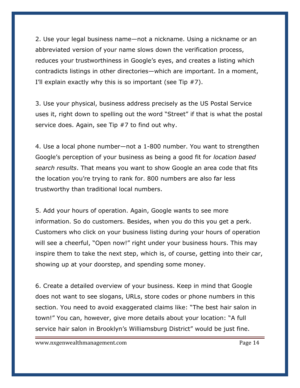2. Use your legal business name—not a nickname. Using a nickname or an abbreviated version of your name slows down the verification process, reduces your trustworthiness in Google's eyes, and creates a listing which contradicts listings in other directories—which are important. In a moment, I'll explain exactly why this is so important (see Tip  $#7$ ).

3. Use your physical, business address precisely as the US Postal Service uses it, right down to spelling out the word "Street" if that is what the postal service does. Again, see Tip #7 to find out why.

4. Use a local phone number—not a 1-800 number. You want to strengthen Google's perception of your business as being a good fit for *location based search results*. That means you want to show Google an area code that fits the location you're trying to rank for. 800 numbers are also far less trustworthy than traditional local numbers.

5. Add your hours of operation. Again, Google wants to see more information. So do customers. Besides, when you do this you get a perk. Customers who click on your business listing during your hours of operation will see a cheerful, "Open now!" right under your business hours. This may inspire them to take the next step, which is, of course, getting into their car, showing up at your doorstep, and spending some money.

6. Create a detailed overview of your business. Keep in mind that Google does not want to see slogans, URLs, store codes or phone numbers in this section. You need to avoid exaggerated claims like: "The best hair salon in town!" You can, however, give more details about your location: "A full service hair salon in Brooklyn's Williamsburg District" would be just fine.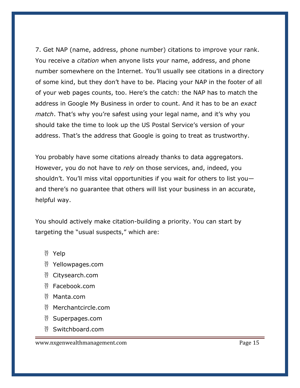7. Get NAP (name, address, phone number) citations to improve your rank. You receive a *citation* when anyone lists your name, address, and phone number somewhere on the Internet. You'll usually see citations in a directory of some kind, but they don't have to be. Placing your NAP in the footer of all of your web pages counts, too. Here's the catch: the NAP has to match the address in Google My Business in order to count. And it has to be an *exact match*. That's why you're safest using your legal name, and it's why you should take the time to look up the US Postal Service's version of your address. That's the address that Google is going to treat as trustworthy.

You probably have some citations already thanks to data aggregators. However, you do not have to *rely* on those services, and, indeed, you shouldn't. You'll miss vital opportunities if you wait for others to list you and there's no guarantee that others will list your business in an accurate, helpful way.

You should actively make citation-building a priority. You can start by targeting the "usual suspects," which are:

- $^{35}_{17}$  Yelp
- $^{35}_{17}$  Yellowpages.com
- $^{35}_{17}$  Citysearch.com
- $\frac{35}{17}$  Facebook.com
- $\frac{35}{17}$  Manta.com
- $^{35}_{17}$  Merchantcircle.com
- $\frac{35}{17}$  Superpages.com
- $35<sup>35</sup>$  Switchboard.com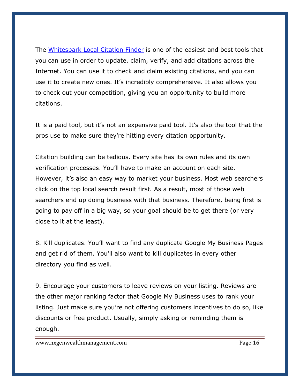The [Whitespark Local Citation Finder](https://www.whitespark.ca/local-citation-finder) is one of the easiest and best tools that you can use in order to update, claim, verify, and add citations across the Internet. You can use it to check and claim existing citations, and you can use it to create new ones. It's incredibly comprehensive. It also allows you to check out your competition, giving you an opportunity to build more citations.

It is a paid tool, but it's not an expensive paid tool. It's also the tool that the pros use to make sure they're hitting every citation opportunity.

Citation building can be tedious. Every site has its own rules and its own verification processes. You'll have to make an account on each site. However, it's also an easy way to market your business. Most web searchers click on the top local search result first. As a result, most of those web searchers end up doing business with that business. Therefore, being first is going to pay off in a big way, so your goal should be to get there (or very close to it at the least).

8. Kill duplicates. You'll want to find any duplicate Google My Business Pages and get rid of them. You'll also want to kill duplicates in every other directory you find as well.

9. Encourage your customers to leave reviews on your listing. Reviews are the other major ranking factor that Google My Business uses to rank your listing. Just make sure you're not offering customers incentives to do so, like discounts or free product. Usually, simply asking or reminding them is enough.